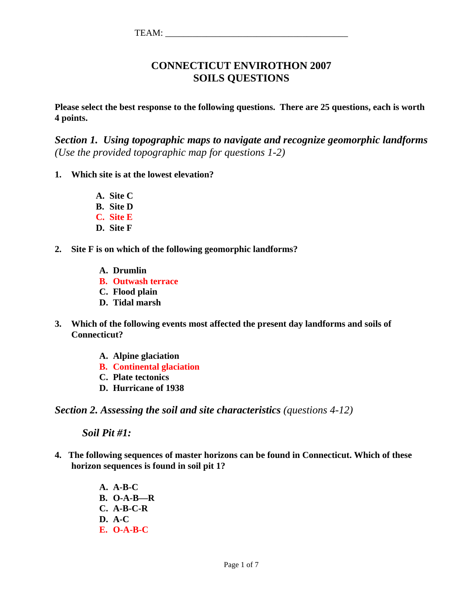### **CONNECTICUT ENVIROTHON 2007 SOILS QUESTIONS**

**Please select the best response to the following questions. There are 25 questions, each is worth 4 points.** 

*Section 1. Using topographic maps to navigate and recognize geomorphic landforms (Use the provided topographic map for questions 1-2)* 

- **1. Which site is at the lowest elevation?** 
	- **A. Site C B. Site D C. Site E**
	- **D. Site F**
- **2. Site F is on which of the following geomorphic landforms?** 
	- **A. Drumlin**
	- **B. Outwash terrace**
	- **C. Flood plain**
	- **D. Tidal marsh**
- **3. Which of the following events most affected the present day landforms and soils of Connecticut?** 
	- **A. Alpine glaciation**
	- **B. Continental glaciation**
	- **C. Plate tectonics**
	- **D. Hurricane of 1938**

*Section 2. Assessing the soil and site characteristics (questions 4-12)* 

 *Soil Pit #1:* 

- **4. The following sequences of master horizons can be found in Connecticut. Which of these horizon sequences is found in soil pit 1?** 
	- **A. A-B-C B. O-A-B—R C. A-B-C-R D. A-C E. O-A-B-C**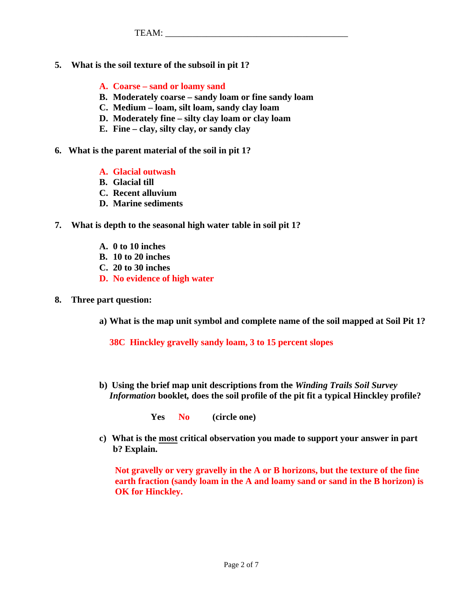- **5. What is the soil texture of the subsoil in pit 1?** 
	- **A. Coarse sand or loamy sand**
	- **B. Moderately coarse sandy loam or fine sandy loam**
	- **C. Medium loam, silt loam, sandy clay loam**
	- **D. Moderately fine silty clay loam or clay loam**
	- **E. Fine clay, silty clay, or sandy clay**
- **6. What is the parent material of the soil in pit 1?** 
	- **A. Glacial outwash**
	- **B. Glacial till**
	- **C. Recent alluvium**
	- **D. Marine sediments**
- **7. What is depth to the seasonal high water table in soil pit 1?** 
	- **A. 0 to 10 inches**
	- **B. 10 to 20 inches**
	- **C. 20 to 30 inches**
	- **D. No evidence of high water**
- **8. Three part question:** 
	- **a) What is the map unit symbol and complete name of the soil mapped at Soil Pit 1?**

 **38C Hinckley gravelly sandy loam, 3 to 15 percent slopes** 

**b) Using the brief map unit descriptions from the** *Winding Trails Soil Survey Information* **booklet***,* **does the soil profile of the pit fit a typical Hinckley profile?** 

**Yes No (circle one)** 

**c) What is the most critical observation you made to support your answer in part b? Explain.** 

**Not gravelly or very gravelly in the A or B horizons, but the texture of the fine earth fraction (sandy loam in the A and loamy sand or sand in the B horizon) is OK for Hinckley.**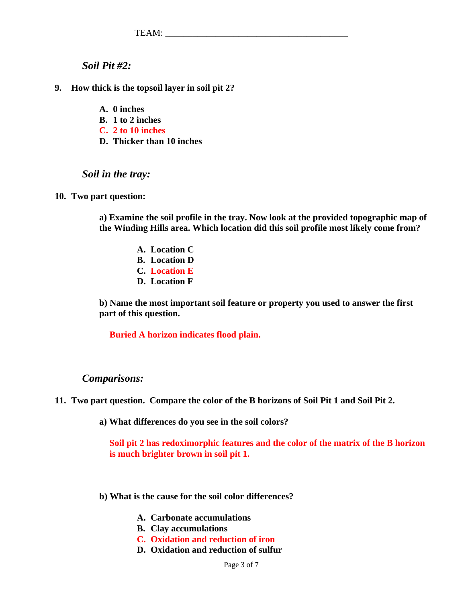*Soil Pit #2:* 

- **9. How thick is the topsoil layer in soil pit 2?** 
	- **A. 0 inches**
	- **B. 1 to 2 inches**
	- **C. 2 to 10 inches**
	- **D. Thicker than 10 inches**

### *Soil in the tray:*

#### **10. Two part question:**

**a) Examine the soil profile in the tray. Now look at the provided topographic map of the Winding Hills area. Which location did this soil profile most likely come from?** 

- **A. Location C**
- **B. Location D**
- **C. Location E**
- **D. Location F**

**b) Name the most important soil feature or property you used to answer the first part of this question.** 

 **Buried A horizon indicates flood plain.** 

### *Comparisons:*

- **11. Two part question. Compare the color of the B horizons of Soil Pit 1 and Soil Pit 2.** 
	- **a) What differences do you see in the soil colors?**

 **Soil pit 2 has redoximorphic features and the color of the matrix of the B horizon is much brighter brown in soil pit 1.** 

- **b) What is the cause for the soil color differences?** 
	- **A. Carbonate accumulations**
	- **B. Clay accumulations**
	- **C. Oxidation and reduction of iron**
	- **D. Oxidation and reduction of sulfur**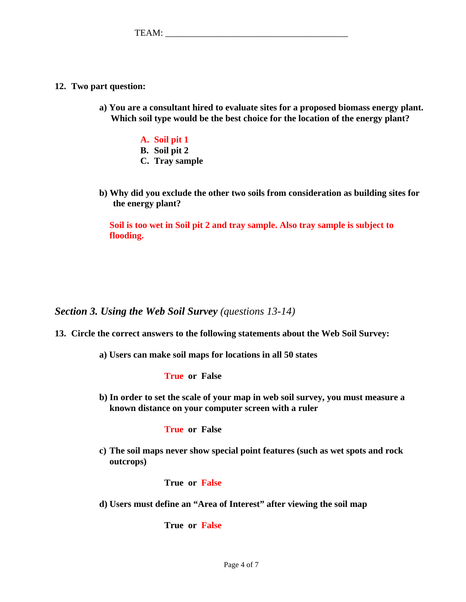- **12. Two part question:** 
	- **a) You are a consultant hired to evaluate sites for a proposed biomass energy plant. Which soil type would be the best choice for the location of the energy plant?** 
		- **A. Soil pit 1**
		- **B. Soil pit 2**
		- **C. Tray sample**
	- **b) Why did you exclude the other two soils from consideration as building sites for the energy plant?**

 **Soil is too wet in Soil pit 2 and tray sample. Also tray sample is subject to flooding.**

*Section 3. Using the Web Soil Survey (questions 13-14)* 

- **13. Circle the correct answers to the following statements about the Web Soil Survey:** 
	- **a) Users can make soil maps for locations in all 50 states**

 **True or False** 

**b) In order to set the scale of your map in web soil survey, you must measure a known distance on your computer screen with a ruler** 

### **True or False**

**c) The soil maps never show special point features (such as wet spots and rock outcrops)** 

 **True or False** 

**d) Users must define an "Area of Interest" after viewing the soil map** 

 **True or False**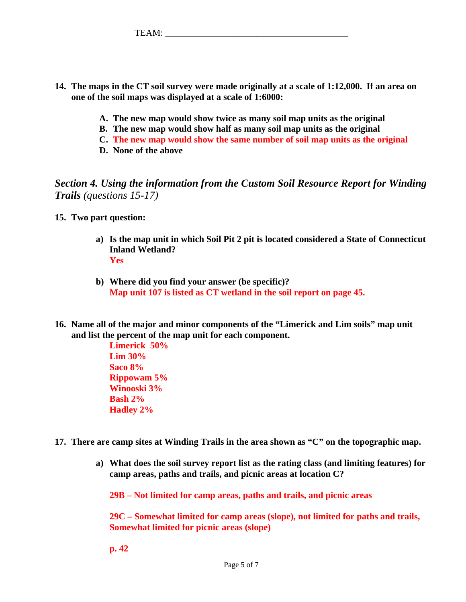- **14. The maps in the CT soil survey were made originally at a scale of 1:12,000. If an area on one of the soil maps was displayed at a scale of 1:6000:** 
	- **A. The new map would show twice as many soil map units as the original**
	- **B. The new map would show half as many soil map units as the original**
	- **C. The new map would show the same number of soil map units as the original**
	- **D. None of the above**

*Section 4. Using the information from the Custom Soil Resource Report for Winding Trails (questions 15-17)*

- **15. Two part question:** 
	- **a) Is the map unit in which Soil Pit 2 pit is located considered a State of Connecticut Inland Wetland? Yes**
	- **b) Where did you find your answer (be specific)? Map unit 107 is listed as CT wetland in the soil report on page 45.**
- **16. Name all of the major and minor components of the "Limerick and Lim soils" map unit and list the percent of the map unit for each component.**

 **Limerick 50% Lim 30% Saco 8% Rippowam 5% Winooski 3% Bash 2% Hadley 2%** 

- **17. There are camp sites at Winding Trails in the area shown as "C" on the topographic map.** 
	- **a) What does the soil survey report list as the rating class (and limiting features) for camp areas, paths and trails, and picnic areas at location C?**

**29B – Not limited for camp areas, paths and trails, and picnic areas** 

**29C – Somewhat limited for camp areas (slope), not limited for paths and trails, Somewhat limited for picnic areas (slope)** 

 **p. 42**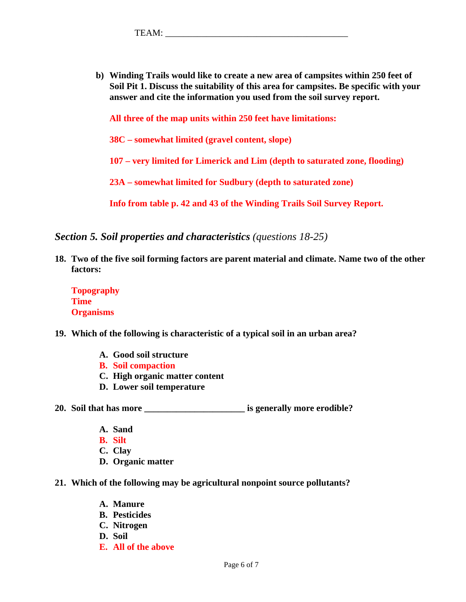**b) Winding Trails would like to create a new area of campsites within 250 feet of Soil Pit 1. Discuss the suitability of this area for campsites. Be specific with your answer and cite the information you used from the soil survey report.** 

**All three of the map units within 250 feet have limitations:** 

**38C – somewhat limited (gravel content, slope)** 

 **107 – very limited for Limerick and Lim (depth to saturated zone, flooding)** 

 **23A – somewhat limited for Sudbury (depth to saturated zone)**

 **Info from table p. 42 and 43 of the Winding Trails Soil Survey Report.** 

*Section 5. Soil properties and characteristics (questions 18-25)* 

**18. Two of the five soil forming factors are parent material and climate. Name two of the other factors:** 

**Topography Time Organisms** 

- **19. Which of the following is characteristic of a typical soil in an urban area?** 
	- **A. Good soil structure**
	- **B. Soil compaction**
	- **C. High organic matter content**
	- **D. Lower soil temperature**

**20. Soil that has more \_\_\_\_\_\_\_\_\_\_\_\_\_\_\_\_\_\_\_\_\_\_ is generally more erodible?** 

- **A. Sand**
- **B. Silt**
- **C. Clay**
- **D. Organic matter**
- **21. Which of the following may be agricultural nonpoint source pollutants?** 
	- **A. Manure**
	- **B. Pesticides**
	- **C. Nitrogen**
	- **D. Soil**
	- **E. All of the above**